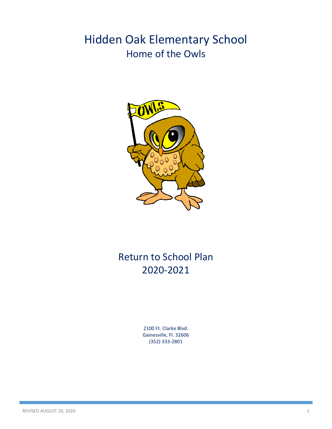# Hidden Oak Elementary School Home of the Owls



## Return to School Plan 2020-2021

2100 Ft. Clarke Blvd. Gainesville, Fl. 32606 (352) 333-2801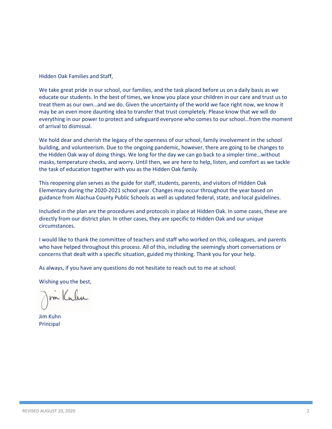Hidden Oak Families and Staff,

We take great pride in our school, our families, and the task placed before us on a daily basis as we educate our students. In the best of times, we know you place your children in our care and trust us to treat them as our own…and we do. Given the uncertainty of the world we face right now, we know it may be an even more daunting idea to transfer that trust completely. Please know that we will do everything in our power to protect and safeguard everyone who comes to our school…from the moment of arrival to dismissal.

We hold dear and cherish the legacy of the openness of our school, family involvement in the school building, and volunteerism. Due to the ongoing pandemic, however, there are going to be changes to the Hidden Oak way of doing things. We long for the day we can go back to a simpler time…without masks, temperature checks, and worry. Until then, we are here to help, listen, and comfort as we tackle the task of education together with you as the Hidden Oak family.

This reopening plan serves as the guide for staff, students, parents, and visitors of Hidden Oak Elementary during the 2020-2021 school year. Changes may occur throughout the year based on guidance from Alachua County Public Schools as well as updated federal, state, and local guidelines.

Included in the plan are the procedures and protocols in place at Hidden Oak. In some cases, these are directly from our district plan. In other cases, they are specific to Hidden Oak and our unique circumstances.

I would like to thank the committee of teachers and staff who worked on this, colleagues, and parents who have helped throughout this process. All of this, including the seemingly short conversations or concerns that dealt with a specific situation, guided my thinking. Thank you for your help.

As always, if you have any questions do not hesitate to reach out to me at school.

Wishing you the best,

m Kulu

Jim Kuhn Principal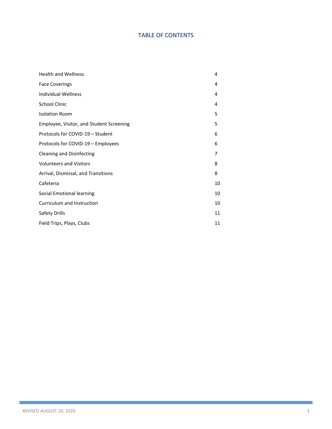### TABLE OF CONTENTS

| <b>Health and Wellness</b>               |   |
|------------------------------------------|---|
| <b>Face Coverings</b>                    |   |
| Individual Wellness                      | 4 |
| School Clinic                            | 4 |
| <b>Isolation Room</b>                    | 5 |
| Employee, Visitor, and Student Screening | 5 |
| Protocols for COVID-19 - Student         | 6 |
| Protocols for COVID-19 - Employees       | 6 |
| <b>Cleaning and Disinfecting</b>         | 7 |
| <b>Volunteers and Visitors</b>           | 8 |
| Arrival, Dismissal, and Transitions      |   |
| Cafeteria                                |   |
| Social Emotional learning                |   |
| Curriculum and Instruction               |   |
| Safety Drills                            |   |
| Field Trips, Plays, Clubs                |   |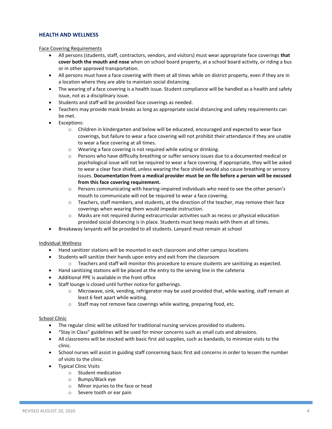#### **HEALTH AND WELLNESS**

#### Face Covering Requirements

- All persons (students, staff, contractors, vendors, and visitors) must wear appropriate face coverings **that cover both the mouth and nose** when on school board property, at a school board activity, or riding a bus or in other approved transportation.
- All persons must have a face covering with them at all times while on district property, even if they are in a location where they are able to maintain social distancing.
- The wearing of a face covering is a health issue. Student compliance will be handled as a health and safety issue, not as a disciplinary issue.
- Students and staff will be provided face coverings as needed.
- Teachers may provide mask breaks as long as appropriate social distancing and safety requirements can be met.
- Exceptions:
	- $\circ$  Children in kindergarten and below will be educated, encouraged and expected to wear face coverings, but failure to wear a face covering will not prohibit their attendance if they are unable to wear a face covering at all times.
	- o Wearing a face covering is not required while eating or drinking.
	- $\circ$  Persons who have difficulty breathing or suffer sensory issues due to a documented medical or psychological issue will not be required to wear a face covering. If appropriate, they will be asked to wear a clear face shield, unless wearing the face shield would also cause breathing or sensory issues. **Documentation from a medical provider must be on file before a person will be excused from this face covering requirement.**
	- o Persons communicating with hearing-impaired individuals who need to see the other person's mouth to communicate will not be required to wear a face covering.
	- $\circ$  Teachers, staff members, and students, at the direction of the teacher, may remove their face coverings when wearing them would impede instruction.
	- $\circ$  Masks are not required during extracurricular activities such as recess or physical education provided social distancing is in place. Students must keep masks with them at all times.
- Breakaway lanyards will be provided to all students. Lanyard must remain at school

#### Individual Wellness

- Hand sanitizer stations will be mounted in each classroom and other campus locations
	- Students will sanitize their hands upon entry and exit from the classroom
		- o Teachers and staff will monitor this procedure to ensure students are sanitizing as expected.
- Hand sanitizing stations will be placed at the entry to the serving line in the cafeteria
- Additional PPE is available in the front office
- Staff lounge is closed until further notice for gatherings.
	- o Microwave, sink, vending, refrigerator may be used provided that, while waiting, staff remain at least 6 feet apart while waiting.
	- o Staff may not remove face coverings while waiting, preparing food, etc.

#### School Clinic

- The regular clinic will be utilized for traditional nursing services provided to students.
- "Stay in Class" guidelines will be used for minor concerns such as small cuts and abrasions.
- All classrooms will be stocked with basic first aid supplies, such as bandaids, to minimize visits to the clinic.
- School nurses will assist in guiding staff concerning basic first aid concerns in order to lessen the number of visits to the clinic.
- Typical Clinic Visits
	- o Student medication
	- o Bumps/Black eye
	- o Minor injuries to the face or head
	- o Severe tooth or ear pain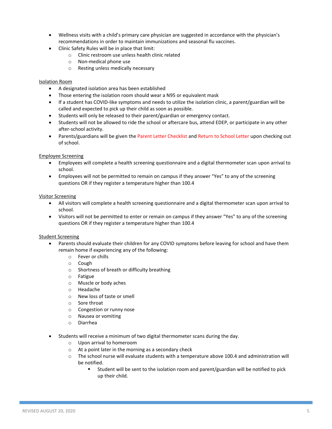- Wellness visits with a child's primary care physician are suggested in accordance with the physician's recommendations in order to maintain immunizations and seasonal flu vaccines.
- Clinic Safety Rules will be in place that limit:
	- o Clinic restroom use unless health clinic related
	- o Non-medical phone use
	- o Resting unless medically necessary

#### Isolation Room

- A designated isolation area has been established
- Those entering the isolation room should wear a N95 or equivalent mask
- If a student has COVID-like symptoms and needs to utilize the isolation clinic, a parent/guardian will be called and expected to pick up their child as soon as possible.
- Students will only be released to their parent/guardian or emergency contact.
- Students will not be allowed to ride the school or aftercare bus, attend EDEP, or participate in any other after-school activity.
- Parents/guardians will be given the Parent Letter Checklist and Return to School Letter upon checking out of school.

#### Employee Screening

- Employees will complete a health screening questionnaire and a digital thermometer scan upon arrival to school.
- Employees will not be permitted to remain on campus if they answer "Yes" to any of the screening questions OR if they register a temperature higher than 100.4

#### Visitor Screening

- All visitors will complete a health screening questionnaire and a digital thermometer scan upon arrival to school.
- Visitors will not be permitted to enter or remain on campus if they answer "Yes" to any of the screening questions OR if they register a temperature higher than 100.4

#### Student Screening

- Parents should evaluate their children for any COVID symptoms before leaving for school and have them remain home if experiencing any of the following:
	- o Fever or chills
	- o Cough
	- o Shortness of breath or difficulty breathing
	- o Fatigue
	- o Muscle or body aches
	- o Headache
	- o New loss of taste or smell
	- o Sore throat
	- o Congestion or runny nose
	- o Nausea or vomiting
	- o Diarrhea
- Students will receive a minimum of two digital thermometer scans during the day.
	- o Upon arrival to homeroom
	- o At a point later in the morning as a secondary check
	- o The school nurse will evaluate students with a temperature above 100.4 and administration will be notified.
		- Student will be sent to the isolation room and parent/guardian will be notified to pick up their child.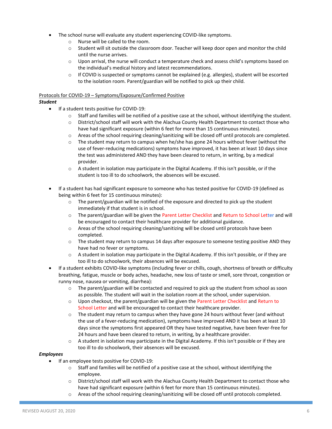- The school nurse will evaluate any student experiencing COVID-like symptoms.
	- o Nurse will be called to the room.
	- $\circ$  Student will sit outside the classroom door. Teacher will keep door open and monitor the child until the nurse arrives.
	- $\circ$  Upon arrival, the nurse will conduct a temperature check and assess child's symptoms based on the individual's medical history and latest recommendations.
	- o If COVID is suspected or symptoms cannot be explained (e.g. allergies), student will be escorted to the isolation room. Parent/guardian will be notified to pick up their child.

## Protocols for COVID-19 – Symptoms/Exposure/Confirmed Positive

#### *Student*

- **If a student tests positive for COVID-19:** 
	- $\circ$  Staff and families will be notified of a positive case at the school, without identifying the student.
	- o District/school staff will work with the Alachua County Health Department to contact those who have had significant exposure (within 6 feet for more than 15 continuous minutes).
	- o Areas of the school requiring cleaning/sanitizing will be closed off until protocols are completed.
	- $\circ$  The student may return to campus when he/she has gone 24 hours without fever (without the use of fever-reducing medications) symptoms have improved, it has been at least 10 days since the test was administered AND they have been cleared to return, in writing, by a medical provider.
	- $\circ$  A student in isolation may participate in the Digital Academy. If this isn't possible, or if the student is too ill to do schoolwork, the absences will be excused.
- If a student has had significant exposure to someone who has tested positive for COVID-19 (defined as being within 6 feet for 15 continuous minutes):
	- $\circ$  The parent/guardian will be notified of the exposure and directed to pick up the student immediately if that student is in school.
	- o The parent/guardian will be given the Parent Letter Checklist and Return to School Letter and will be encouraged to contact their healthcare provider for additional guidance.
	- $\circ$  Areas of the school requiring cleaning/sanitizing will be closed until protocols have been completed.
	- $\circ$  The student may return to campus 14 days after exposure to someone testing positive AND they have had no fever or symptoms.
	- $\circ$  A student in isolation may participate in the Digital Academy. If this isn't possible, or if they are too ill to do schoolwork, their absences will be excused.
- If a student exhibits COVID-like symptoms (including fever or chills, cough, shortness of breath or difficulty breathing, fatigue, muscle or body aches, headache, new loss of taste or smell, sore throat, congestion or runny nose, nausea or vomiting, diarrhea):
	- $\circ$  The parent/guardian will be contacted and required to pick up the student from school as soon as possible. The student will wait in the isolation room at the school, under supervision.
	- o Upon checkout, the parent/guardian will be given the Parent Letter Checklist and Return to School Letter and will be encouraged to contact their healthcare provider.
	- $\circ$  The student may return to campus when they have gone 24 hours without fever (and without the use of a fever-reducing medication), symptoms have improved AND it has been at least 10 days since the symptoms first appeared OR they have tested negative, have been fever-free for 24 hours and have been cleared to return, in writing, by a healthcare provider.
	- $\circ$  A student in isolation may participate in the Digital Academy. If this isn't possible or if they are too ill to do schoolwork, their absences will be excused.

#### *Employees*

- **•** If an employee tests positive for COVID-19:
	- $\circ$  Staff and families will be notified of a positive case at the school, without identifying the employee.
	- o District/school staff will work with the Alachua County Health Department to contact those who have had significant exposure (within 6 feet for more than 15 continuous minutes).
	- $\circ$  Areas of the school requiring cleaning/sanitizing will be closed off until protocols completed.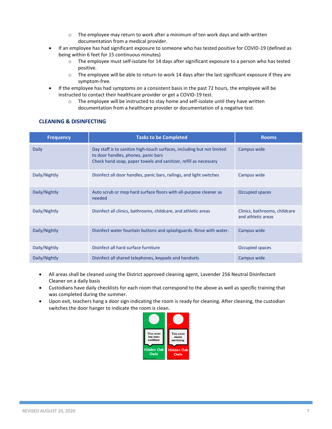- $\circ$  The employee may return to work after a minimum of ten work days and with written documentation from a medical provider.
- If an employee has had significant exposure to someone who has tested positive for COVID-19 (defined as being within 6 feet for 15 continuous minutes)
	- o The employee must self-isolate for 14 days after significant exposure to a person who has tested positive.
	- o The employee will be able to return to work 14 days after the last significant exposure if they are symptom-free.
- If the employee has had symptoms on a consistent basis in the past 72 hours, the employee will be instructed to contact their healthcare provider or get a COVID-19 test.
	- $\circ$  The employee will be instructed to stay home and self-isolate until they have written documentation from a healthcare provider or documentation of a negative test.

#### **CLEANING & DISINFECTING**

| <b>Frequency</b> | <b>Tasks to be Completed</b>                                                                                                                                                       | <b>Rooms</b>                                        |
|------------------|------------------------------------------------------------------------------------------------------------------------------------------------------------------------------------|-----------------------------------------------------|
| Daily            | Day staff is to sanitize high-touch surfaces, including but not limited<br>to door handles, phones, panic bars<br>Check hand soap, paper towels and sanitizer, refill as necessary | Campus wide                                         |
| Daily/Nightly    | Disinfect all door handles, panic bars, railings, and light switches                                                                                                               | Campus wide                                         |
| Daily/Nightly    | Auto scrub or mop hard surface floors with all-purpose cleaner as<br>needed                                                                                                        | Occupied spaces                                     |
| Daily/Nightly    | Disinfect all clinics, bathrooms, childcare, and athletic areas                                                                                                                    | Clinics, bathrooms, childcare<br>and athletic areas |
| Daily/Nightly    | Disinfect water fountain buttons and splashguards. Rinse with water.                                                                                                               | Campus wide                                         |
| Daily/Nightly    | Disinfect all hard surface furniture                                                                                                                                               | Occupied spaces                                     |
| Daily/Nightly    | Disinfect all shared telephones, keypads and handsets                                                                                                                              | Campus wide                                         |

- All areas shall be cleaned using the District approved cleaning agent, Lavender 256 Neutral Disinfectant Cleaner on a daily basis
- Custodians have daily checklists for each room that correspond to the above as well as specific training that was completed during the summer.
- Upon exit, teachers hang a door sign indicating the room is ready for cleaning. After cleaning, the custodian switches the door hanger to indicate the room is clean.

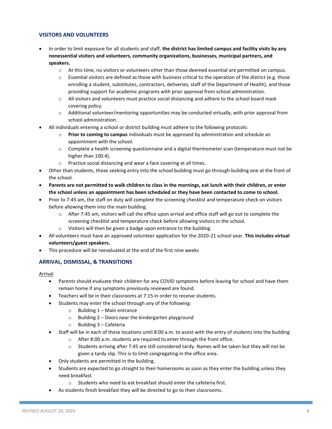#### **VISITORS AND VOLUNTEERS**

- In order to limit exposure for all students and staff, **the district has limited campus and facility visits by any nonessential visitors and volunteers, community organizations, businesses, municipal partners, and speakers.** 
	- $\circ$  At this time, no visitors or volunteers other than those deemed essential are permitted on campus.
	- $\circ$  Essential visitors are defined as those with business critical to the operation of the district (e.g. those enrolling a student, substitutes, contractors, deliveries, staff of the Department of Health), and those providing support for academic programs with prior approval from school administration.
	- o All visitors and volunteers must practice social distancing and adhere to the school board mask covering policy.
	- $\circ$  Additional volunteer/mentoring opportunities may be conducted virtually, with prior approval from school administration.
- All individuals entering a school or district building must adhere to the following protocols:
	- o **Prior to coming to campus** individuals must be approved by administration and schedule an appointment with the school.
	- o Complete a health screening questionnaire and a digital thermometer scan (temperature must not be higher than 100.4).
	- o Practice social distancing and wear a face covering at all times.
- Other than students, those seeking entry into the school building must go through building one at the front of the school.
- **Parents are not permitted to walk children to class in the mornings, eat lunch with their children, or enter the school unless an appointment has been scheduled or they have been contacted to come to school.**
- Prior to 7:45 am, the staff on duty will complete the screening checklist and temperature check on visitors before allowing them into the main building.
	- o After 7:45 am, visitors will call the office upon arrival and office staff will go out to complete the screening checklist and temperature check before allowing visitors in the school.
	- o Visitors will then be given a badge upon entrance to the building.
- All volunteers must have an approved volunteer application for the 2020-21 school year. **This includes virtual volunteers/guest speakers.**
- This procedure will be reevaluated at the end of the first nine weeks

#### **ARRIVAL, DISMISSAL, & TRANSITIONS**

Arrival

- Parents should evaluate their children for any COVID symptoms before leaving for school and have them remain home if any symptoms previously reviewed are found.
- Teachers will be in their classrooms at 7:15 in order to receive students.
- Students may enter the school through any of the following:
	- $\circ$  Building 1 Main entrance
	- o Building 2 Doors near the kindergarten playground
	- o Building 3 Cafeteria
- Staff will be in each of these locations until 8:00 a.m. to assist with the entry of students into the building
	- o After 8:00 a.m. students are required to enter through the front office.
	- o Students arriving after 7:45 are still considered tardy. Names will be taken but they will not be given a tardy slip. This is to limit congregating in the office area.
- Only students are permitted in the building.
- Students are expected to go straight to their homerooms as soon as they enter the building unless they need breakfast.
	- o Students who need to eat breakfast should enter the cafeteria first.
- As students finish breakfast they will be directed to go to their classrooms.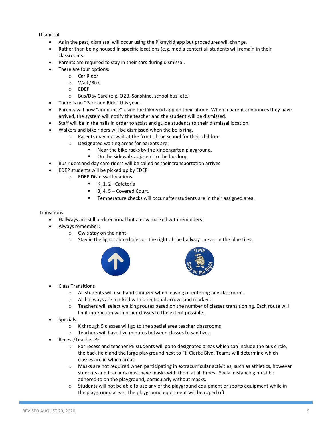#### Dismissal

- As in the past, dismissal will occur using the Pikmykid app but procedures will change.
- Rather than being housed in specific locations (e.g. media center) all students will remain in their classrooms.
- Parents are required to stay in their cars during dismissal.
- There are four options:
	- o Car Rider
	- o Walk/Bike
	- o EDEP
	- o Bus/Day Care (e.g. O2B, Sonshine, school bus, etc.)
- There is no "Park and Ride" this year.
- Parents will now "announce" using the Pikmykid app on their phone. When a parent announces they have arrived, the system will notify the teacher and the student will be dismissed.
- Staff will be in the halls in order to assist and guide students to their dismissal location.
- Walkers and bike riders will be dismissed when the bells ring.
	- o Parents may not wait at the front of the school for their children.
	- o Designated waiting areas for parents are:
		- Near the bike racks by the kindergarten playground.
			- On the sidewalk adjacent to the bus loop
- Bus riders and day care riders will be called as their transportation arrives
- EDEP students will be picked up by EDEP
	- o EDEP Dismissal locations:
		- K, 1, 2 Cafeteria
		- $\blacksquare$  3, 4, 5 Covered Court.
		- **Temperature checks will occur after students are in their assigned area.**

#### Transitions

- Hallways are still bi-directional but a now marked with reminders.
- Always remember:
	- o Owls stay on the right.
	- $\circ$  Stay in the light colored tiles on the right of the hallway... never in the blue tiles.





- Class Transitions
	- o All students will use hand sanitizer when leaving or entering any classroom.
	- o All hallways are marked with directional arrows and markers.
	- o Teachers will select walking routes based on the number of classes transitioning. Each route will limit interaction with other classes to the extent possible.
- Specials
	- o K through 5 classes will go to the special area teacher classrooms
	- o Teachers will have five minutes between classes to sanitize.
- Recess/Teacher PE
	- $\circ$  For recess and teacher PE students will go to designated areas which can include the bus circle, the back field and the large playground next to Ft. Clarke Blvd. Teams will determine which classes are in which areas.
	- o Masks are not required when participating in extracurricular activities, such as athletics, however students and teachers must have masks with them at all times. Social distancing must be adhered to on the playground, particularly without masks.
	- $\circ$  Students will not be able to use any of the playground equipment or sports equipment while in the playground areas. The playground equipment will be roped off.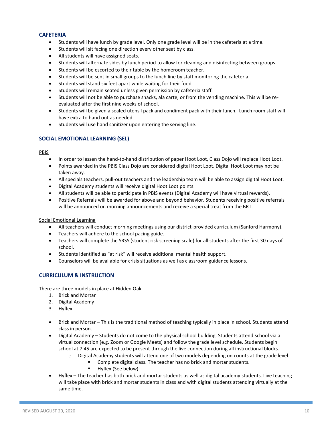#### **CAFETERIA**

- Students will have lunch by grade level. Only one grade level will be in the cafeteria at a time.
- Students will sit facing one direction every other seat by class.
- All students will have assigned seats.
- Students will alternate sides by lunch period to allow for cleaning and disinfecting between groups.
- Students will be escorted to their table by the homeroom teacher.
- Students will be sent in small groups to the lunch line by staff monitoring the cafeteria.
- **•** Students will stand six feet apart while waiting for their food.
- Students will remain seated unless given permission by cafeteria staff.
- Students will not be able to purchase snacks, ala carte, or from the vending machine. This will be reevaluated after the first nine weeks of school.
- Students will be given a sealed utensil pack and condiment pack with their lunch. Lunch room staff will have extra to hand out as needed.
- **•** Students will use hand sanitizer upon entering the serving line.

#### **SOCIAL EMOTIONAL LEARNING (SEL)**

#### **PBIS**

- In order to lessen the hand-to-hand distribution of paper Hoot Loot, Class Dojo will replace Hoot Loot.
- Points awarded in the PBIS Class Dojo are considered digital Hoot Loot. Digital Hoot Loot may not be taken away.
- All specials teachers, pull-out teachers and the leadership team will be able to assign digital Hoot Loot.
- Digital Academy students will receive digital Hoot Loot points.
- All students will be able to participate in PBIS events (Digital Academy will have virtual rewards).
- Positive Referrals will be awarded for above and beyond behavior. Students receiving positive referrals will be announced on morning announcements and receive a special treat from the BRT.

#### Social Emotional Learning

- All teachers will conduct morning meetings using our district-provided curriculum (Sanford Harmony).
- Teachers will adhere to the school pacing guide.
- Teachers will complete the SRSS (student risk screening scale) for all students after the first 30 days of school.
- Students identified as "at risk" will receive additional mental health support.
- Counselors will be available for crisis situations as well as classroom guidance lessons.

#### **CURRICULUM & INSTRUCTION**

There are three models in place at Hidden Oak.

- 1. Brick and Mortar
- 2. Digital Academy
- 3. Hyflex
- Brick and Mortar This is the traditional method of teaching typically in place in school. Students attend class in person.
- Digital Academy Students do not come to the physical school building. Students attend school via a virtual connection (e.g. Zoom or Google Meets) and follow the grade level schedule. Students begin school at 7:45 are expected to be present through the live connection during all instructional blocks.
	- $\circ$  Digital Academy students will attend one of two models depending on counts at the grade level.
		- Complete digital class. The teacher has no brick and mortar students.
		- **Hyflex (See below)**
- Hyflex The teacher has both brick and mortar students as well as digital academy students. Live teaching will take place with brick and mortar students in class and with digital students attending virtually at the same time.